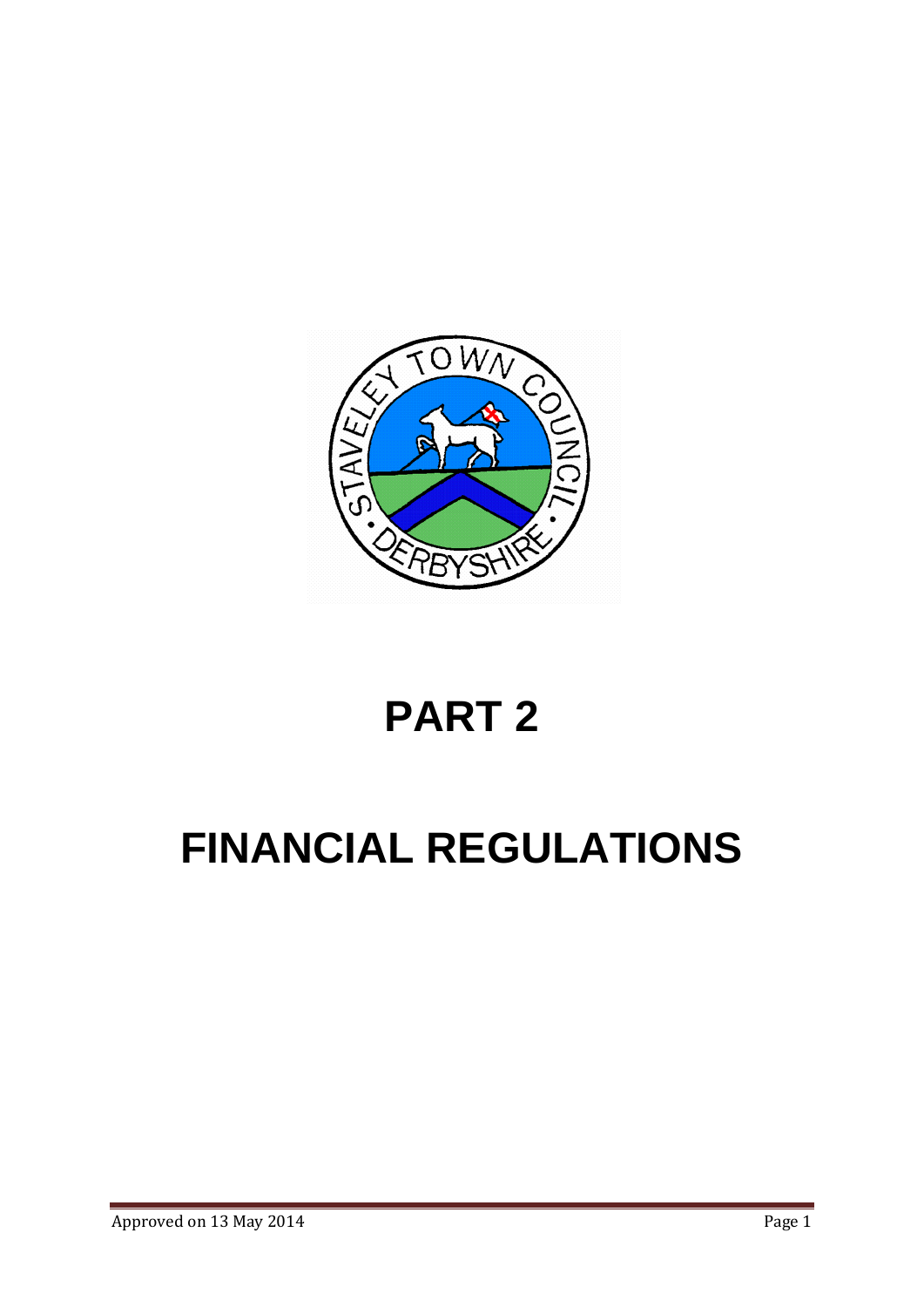

# **PART 2**

# **FINANCIAL REGULATIONS**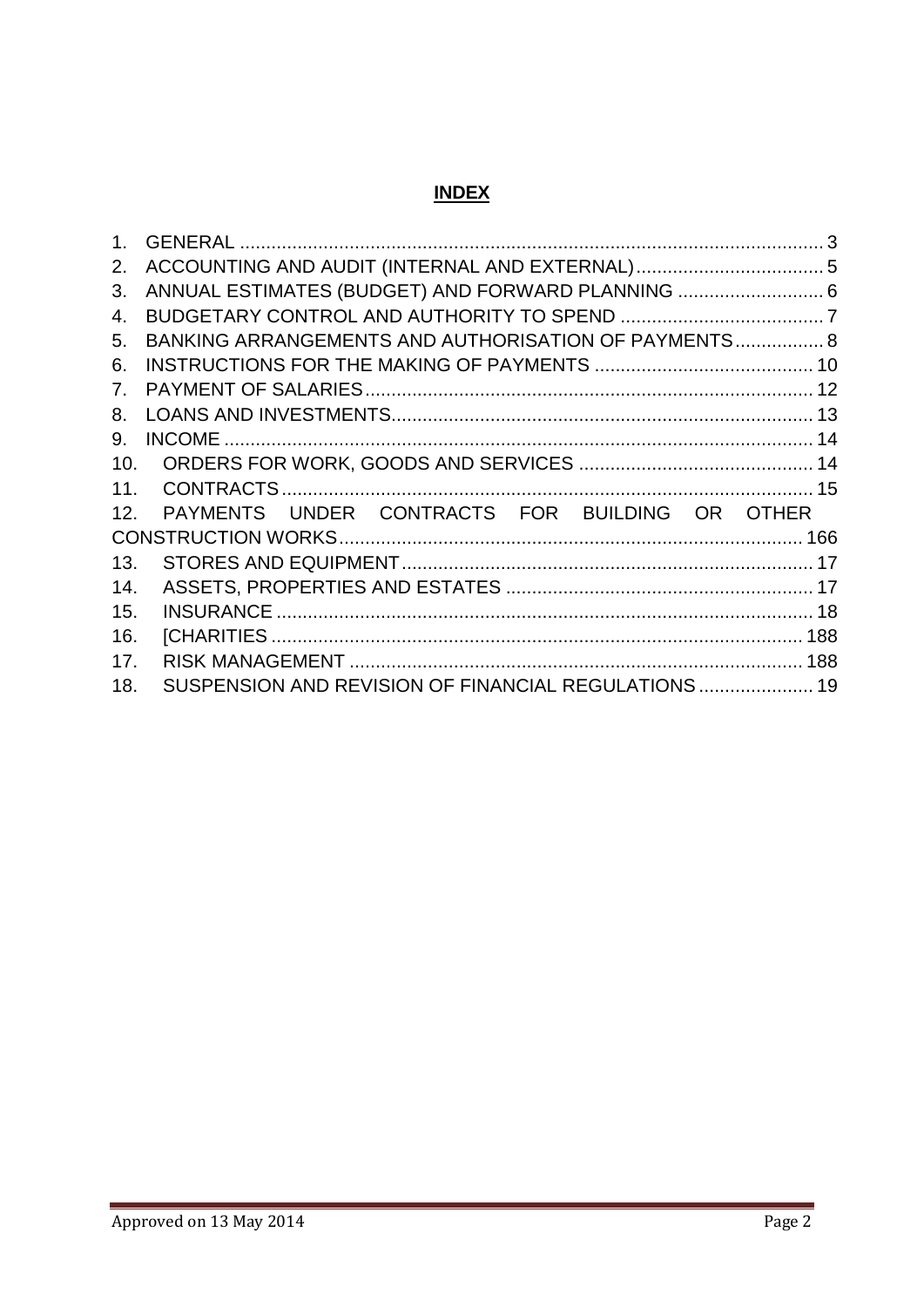# **INDEX**

| 1 <sub>1</sub> |                                                      |  |
|----------------|------------------------------------------------------|--|
| 2.             |                                                      |  |
| 3.             | ANNUAL ESTIMATES (BUDGET) AND FORWARD PLANNING  6    |  |
| 4.             |                                                      |  |
| 5.             | BANKING ARRANGEMENTS AND AUTHORISATION OF PAYMENTS 8 |  |
| 6.             |                                                      |  |
| 7.             |                                                      |  |
| 8.             |                                                      |  |
| 9.             |                                                      |  |
| 10.            |                                                      |  |
| 11.            |                                                      |  |
| 12.            | PAYMENTS UNDER CONTRACTS FOR BUILDING OR OTHER       |  |
|                |                                                      |  |
| 13.            |                                                      |  |
| 14.            |                                                      |  |
| 15.            |                                                      |  |
| 16.            |                                                      |  |
| 17.            |                                                      |  |
| 18.            | SUSPENSION AND REVISION OF FINANCIAL REGULATIONS  19 |  |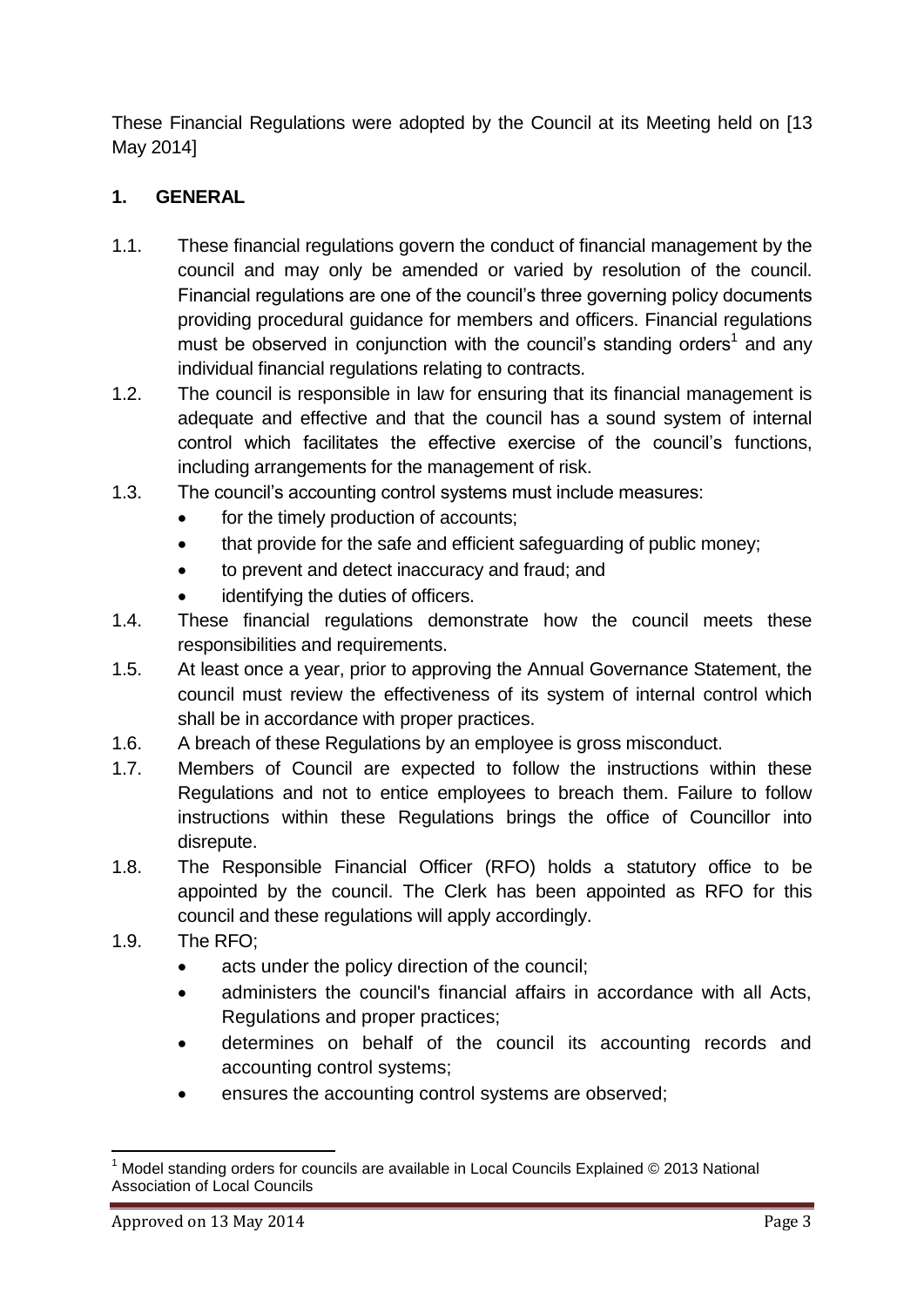These Financial Regulations were adopted by the Council at its Meeting held on [13 May 2014]

# <span id="page-2-0"></span>**1. GENERAL**

- 1.1. These financial regulations govern the conduct of financial management by the council and may only be amended or varied by resolution of the council. Financial regulations are one of the council's three governing policy documents providing procedural guidance for members and officers. Financial regulations must be observed in conjunction with the council's standing orders<sup>1</sup> and any individual financial regulations relating to contracts.
- 1.2. The council is responsible in law for ensuring that its financial management is adequate and effective and that the council has a sound system of internal control which facilitates the effective exercise of the council's functions, including arrangements for the management of risk.
- 1.3. The council's accounting control systems must include measures:
	- for the timely production of accounts;
	- that provide for the safe and efficient safeguarding of public money;
	- to prevent and detect inaccuracy and fraud; and
	- identifying the duties of officers.
- 1.4. These financial regulations demonstrate how the council meets these responsibilities and requirements.
- 1.5. At least once a year, prior to approving the Annual Governance Statement, the council must review the effectiveness of its system of internal control which shall be in accordance with proper practices.
- 1.6. A breach of these Regulations by an employee is gross misconduct.
- 1.7. Members of Council are expected to follow the instructions within these Regulations and not to entice employees to breach them. Failure to follow instructions within these Regulations brings the office of Councillor into disrepute.
- 1.8. The Responsible Financial Officer (RFO) holds a statutory office to be appointed by the council. The Clerk has been appointed as RFO for this council and these regulations will apply accordingly.
- 1.9. The RFO;
	- acts under the policy direction of the council;
	- administers the council's financial affairs in accordance with all Acts, Regulations and proper practices;
	- determines on behalf of the council its accounting records and accounting control systems;
	- ensures the accounting control systems are observed;

**<sup>.</sup>** Model standing orders for councils are available in Local Councils Explained © 2013 National Association of Local Councils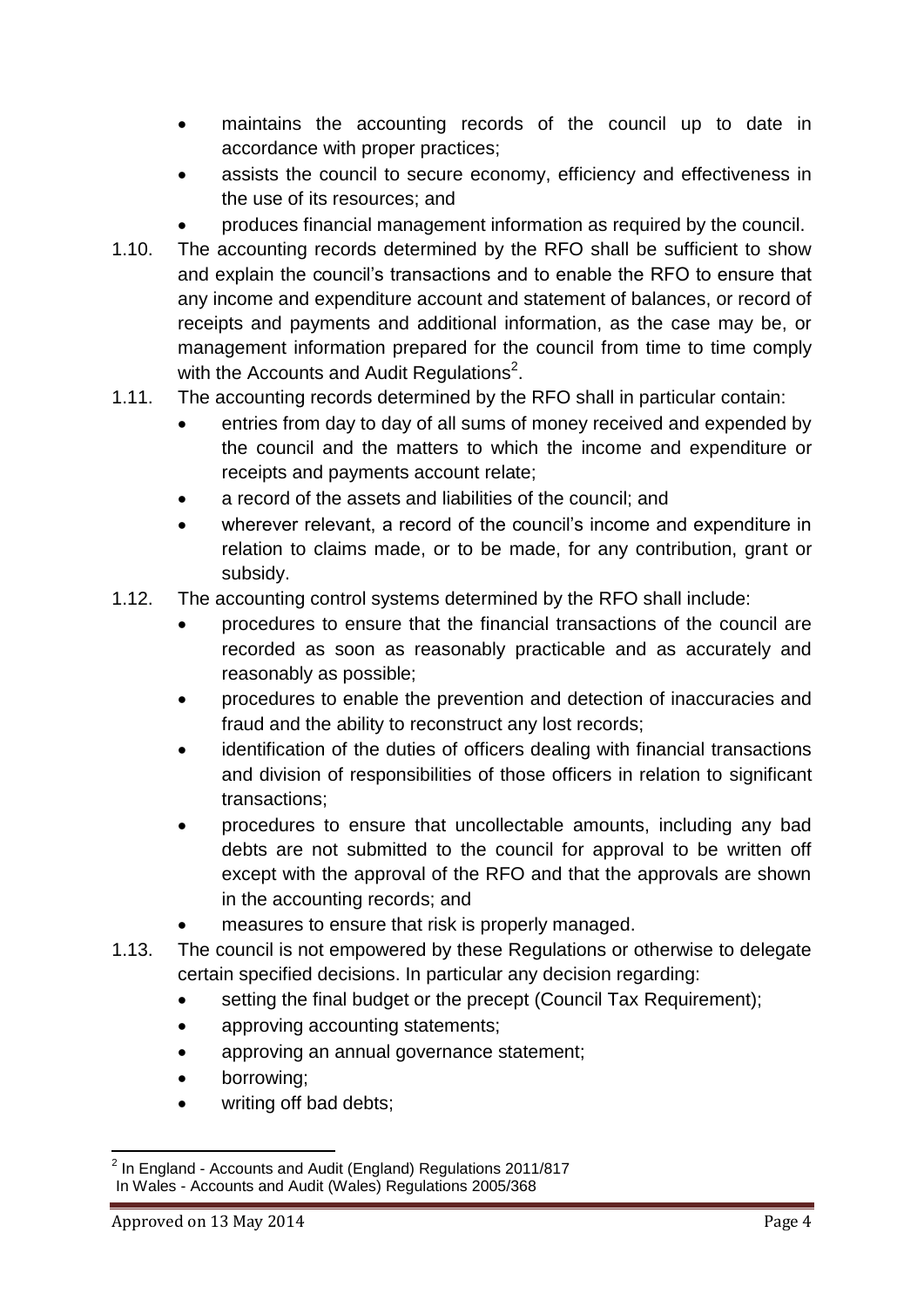- maintains the accounting records of the council up to date in accordance with proper practices;
- assists the council to secure economy, efficiency and effectiveness in the use of its resources; and
- produces financial management information as required by the council.
- 1.10. The accounting records determined by the RFO shall be sufficient to show and explain the council's transactions and to enable the RFO to ensure that any income and expenditure account and statement of balances, or record of receipts and payments and additional information, as the case may be, or management information prepared for the council from time to time comply with the Accounts and Audit Regulations<sup>2</sup>.
- 1.11. The accounting records determined by the RFO shall in particular contain:
	- entries from day to day of all sums of money received and expended by the council and the matters to which the income and expenditure or receipts and payments account relate;
	- a record of the assets and liabilities of the council; and
	- wherever relevant, a record of the council's income and expenditure in relation to claims made, or to be made, for any contribution, grant or subsidy.
- 1.12. The accounting control systems determined by the RFO shall include:
	- procedures to ensure that the financial transactions of the council are recorded as soon as reasonably practicable and as accurately and reasonably as possible;
	- procedures to enable the prevention and detection of inaccuracies and fraud and the ability to reconstruct any lost records;
	- identification of the duties of officers dealing with financial transactions and division of responsibilities of those officers in relation to significant transactions;
	- procedures to ensure that uncollectable amounts, including any bad debts are not submitted to the council for approval to be written off except with the approval of the RFO and that the approvals are shown in the accounting records; and
	- measures to ensure that risk is properly managed.
- 1.13. The council is not empowered by these Regulations or otherwise to delegate certain specified decisions. In particular any decision regarding:
	- setting the final budget or the precept (Council Tax Requirement);
	- approving accounting statements;
	- approving an annual governance statement;
	- borrowing;
	- writing off bad debts;

 2 In England - Accounts and Audit (England) Regulations 2011/817 In Wales - Accounts and Audit (Wales) Regulations 2005/368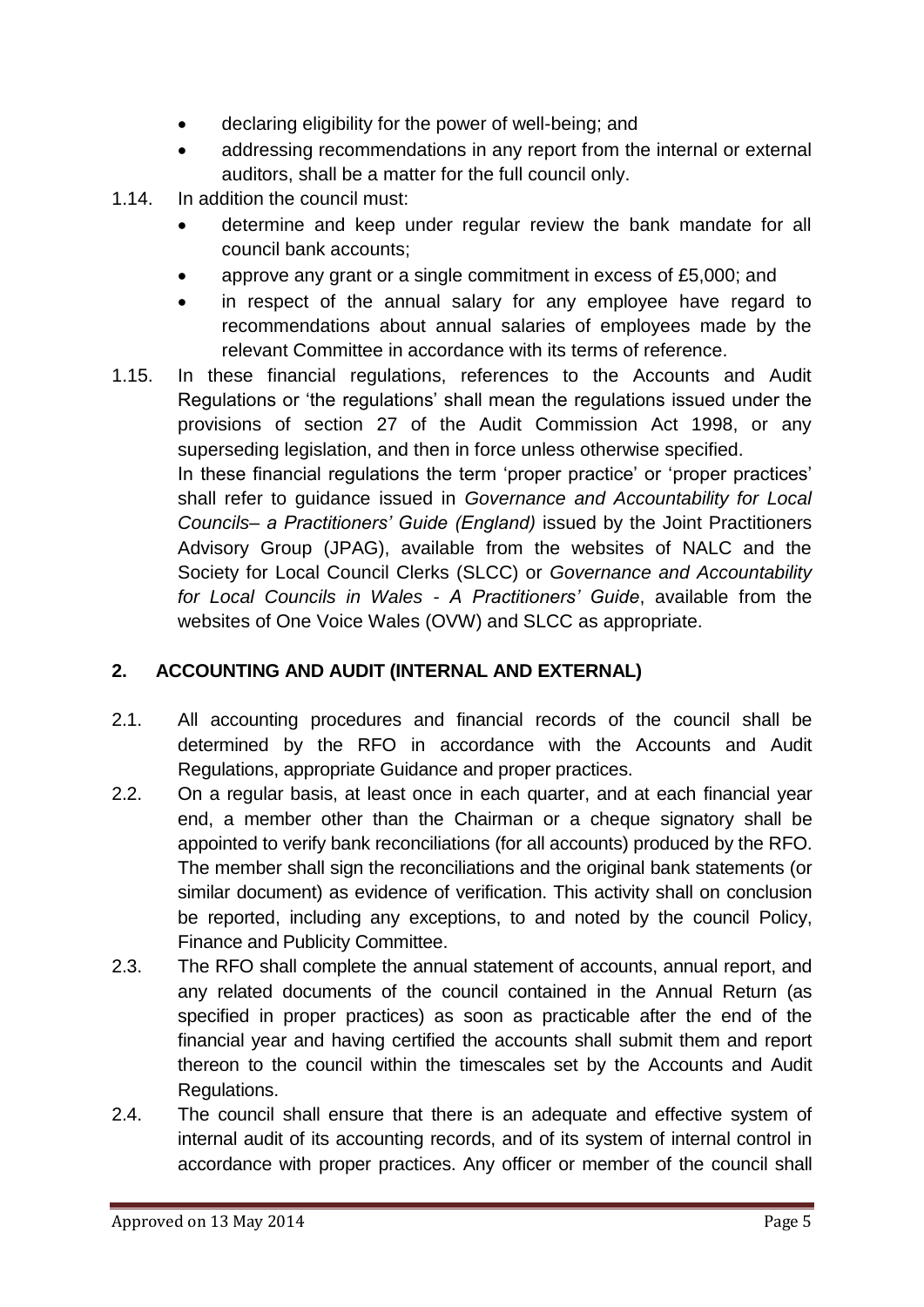- declaring eligibility for the power of well-being; and
- addressing recommendations in any report from the internal or external auditors, shall be a matter for the full council only.
- 1.14. In addition the council must:
	- determine and keep under regular review the bank mandate for all council bank accounts;
	- approve any grant or a single commitment in excess of £5,000; and
	- in respect of the annual salary for any employee have regard to recommendations about annual salaries of employees made by the relevant Committee in accordance with its terms of reference.
- 1.15. In these financial regulations, references to the Accounts and Audit Regulations or 'the regulations' shall mean the regulations issued under the provisions of section 27 of the Audit Commission Act 1998, or any superseding legislation, and then in force unless otherwise specified. In these financial regulations the term 'proper practice' or 'proper practices' shall refer to guidance issued in *Governance and Accountability for Local Councils– a Practitioners' Guide (England)* issued by the Joint Practitioners Advisory Group (JPAG), available from the websites of NALC and the

Society for Local Council Clerks (SLCC) or *Governance and Accountability for Local Councils in Wales - A Practitioners' Guide*, available from the websites of One Voice Wales (OVW) and SLCC as appropriate.

# <span id="page-4-0"></span>**2. ACCOUNTING AND AUDIT (INTERNAL AND EXTERNAL)**

- 2.1. All accounting procedures and financial records of the council shall be determined by the RFO in accordance with the Accounts and Audit Regulations, appropriate Guidance and proper practices.
- 2.2. On a regular basis, at least once in each quarter, and at each financial year end, a member other than the Chairman or a cheque signatory shall be appointed to verify bank reconciliations (for all accounts) produced by the RFO. The member shall sign the reconciliations and the original bank statements (or similar document) as evidence of verification. This activity shall on conclusion be reported, including any exceptions, to and noted by the council Policy, Finance and Publicity Committee.
- 2.3. The RFO shall complete the annual statement of accounts, annual report, and any related documents of the council contained in the Annual Return (as specified in proper practices) as soon as practicable after the end of the financial year and having certified the accounts shall submit them and report thereon to the council within the timescales set by the Accounts and Audit Regulations.
- 2.4. The council shall ensure that there is an adequate and effective system of internal audit of its accounting records, and of its system of internal control in accordance with proper practices. Any officer or member of the council shall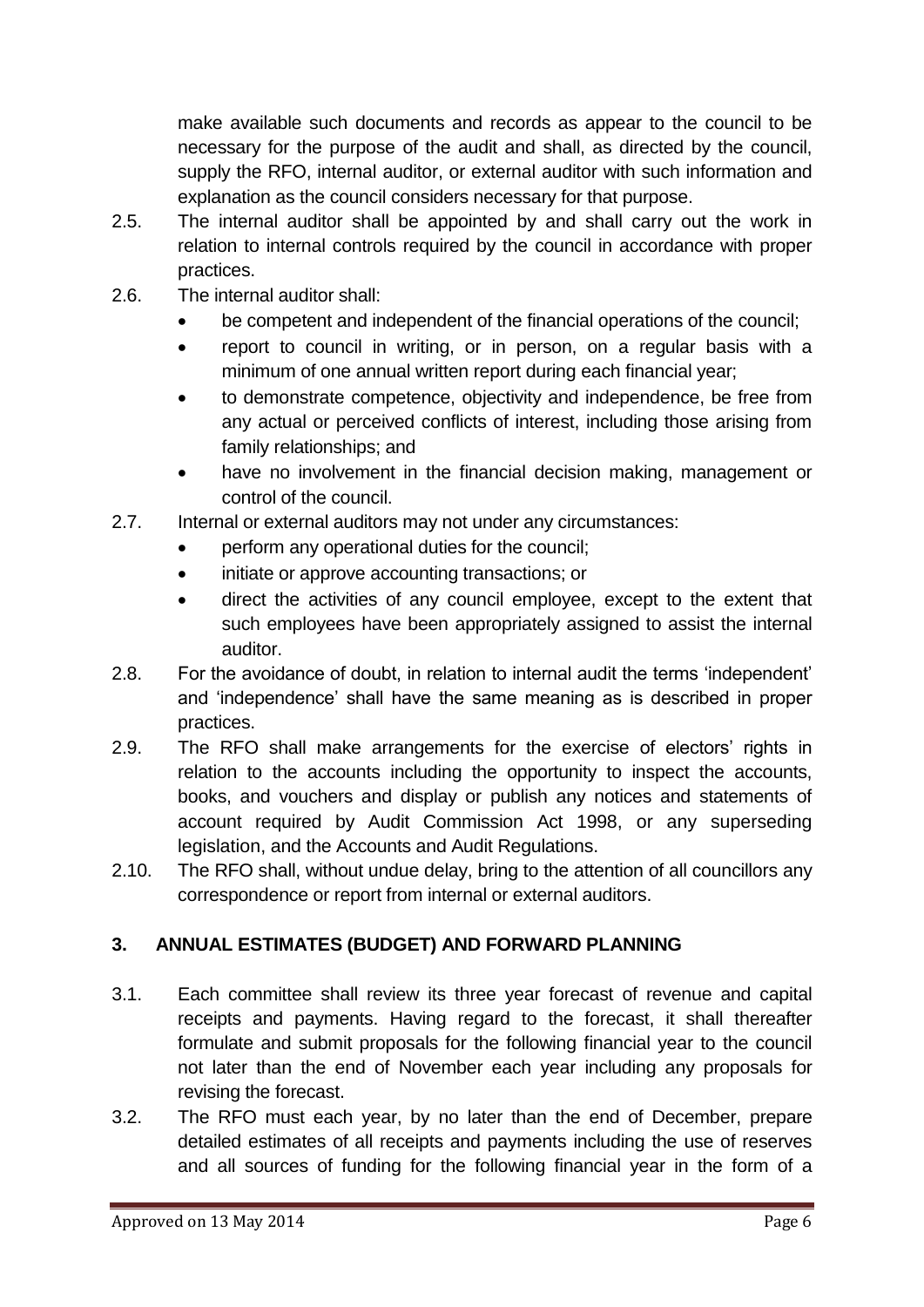make available such documents and records as appear to the council to be necessary for the purpose of the audit and shall, as directed by the council, supply the RFO, internal auditor, or external auditor with such information and explanation as the council considers necessary for that purpose.

- 2.5. The internal auditor shall be appointed by and shall carry out the work in relation to internal controls required by the council in accordance with proper practices.
- 2.6. The internal auditor shall:
	- be competent and independent of the financial operations of the council;
	- report to council in writing, or in person, on a regular basis with a minimum of one annual written report during each financial year;
	- to demonstrate competence, objectivity and independence, be free from any actual or perceived conflicts of interest, including those arising from family relationships; and
	- have no involvement in the financial decision making, management or control of the council.
- 2.7. Internal or external auditors may not under any circumstances:
	- perform any operational duties for the council;
	- initiate or approve accounting transactions; or
	- direct the activities of any council employee, except to the extent that such employees have been appropriately assigned to assist the internal auditor.
- 2.8. For the avoidance of doubt, in relation to internal audit the terms 'independent' and 'independence' shall have the same meaning as is described in proper practices.
- 2.9. The RFO shall make arrangements for the exercise of electors' rights in relation to the accounts including the opportunity to inspect the accounts, books, and vouchers and display or publish any notices and statements of account required by Audit Commission Act 1998, or any superseding legislation, and the Accounts and Audit Regulations.
- 2.10. The RFO shall, without undue delay, bring to the attention of all councillors any correspondence or report from internal or external auditors.

# <span id="page-5-0"></span>**3. ANNUAL ESTIMATES (BUDGET) AND FORWARD PLANNING**

- 3.1. Each committee shall review its three year forecast of revenue and capital receipts and payments. Having regard to the forecast, it shall thereafter formulate and submit proposals for the following financial year to the council not later than the end of November each year including any proposals for revising the forecast.
- 3.2. The RFO must each year, by no later than the end of December, prepare detailed estimates of all receipts and payments including the use of reserves and all sources of funding for the following financial year in the form of a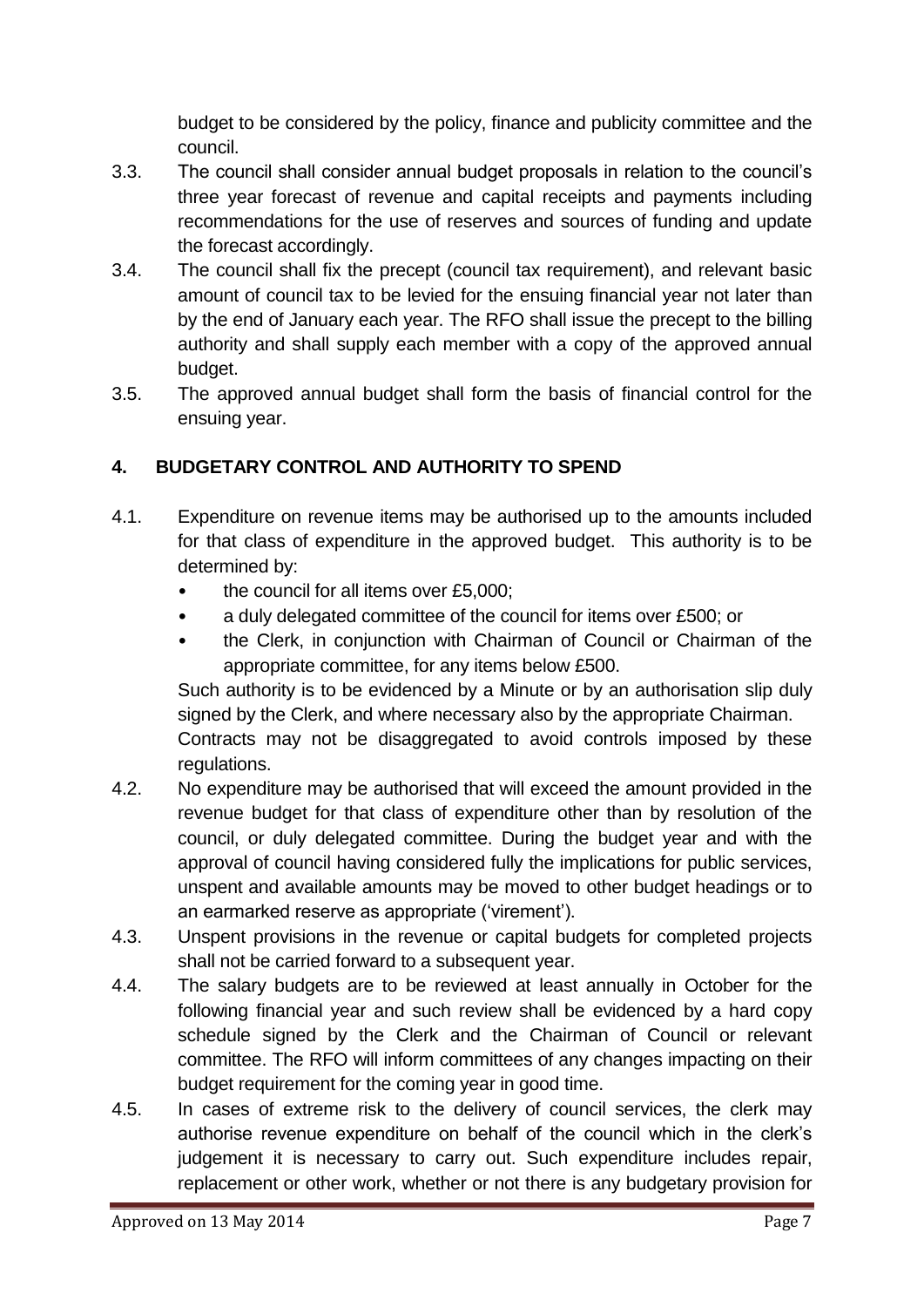budget to be considered by the policy, finance and publicity committee and the council.

- 3.3. The council shall consider annual budget proposals in relation to the council's three year forecast of revenue and capital receipts and payments including recommendations for the use of reserves and sources of funding and update the forecast accordingly.
- 3.4. The council shall fix the precept (council tax requirement), and relevant basic amount of council tax to be levied for the ensuing financial year not later than by the end of January each year. The RFO shall issue the precept to the billing authority and shall supply each member with a copy of the approved annual budget.
- 3.5. The approved annual budget shall form the basis of financial control for the ensuing year.

# <span id="page-6-0"></span>**4. BUDGETARY CONTROL AND AUTHORITY TO SPEND**

- 4.1. Expenditure on revenue items may be authorised up to the amounts included for that class of expenditure in the approved budget. This authority is to be determined by:
	- the council for all items over £5,000:
	- a duly delegated committee of the council for items over £500; or
	- the Clerk, in conjunction with Chairman of Council or Chairman of the appropriate committee, for any items below £500.

Such authority is to be evidenced by a Minute or by an authorisation slip duly signed by the Clerk, and where necessary also by the appropriate Chairman.

Contracts may not be disaggregated to avoid controls imposed by these regulations.

- 4.2. No expenditure may be authorised that will exceed the amount provided in the revenue budget for that class of expenditure other than by resolution of the council, or duly delegated committee. During the budget year and with the approval of council having considered fully the implications for public services, unspent and available amounts may be moved to other budget headings or to an earmarked reserve as appropriate ('virement').
- 4.3. Unspent provisions in the revenue or capital budgets for completed projects shall not be carried forward to a subsequent year.
- 4.4. The salary budgets are to be reviewed at least annually in October for the following financial year and such review shall be evidenced by a hard copy schedule signed by the Clerk and the Chairman of Council or relevant committee. The RFO will inform committees of any changes impacting on their budget requirement for the coming year in good time.
- 4.5. In cases of extreme risk to the delivery of council services, the clerk may authorise revenue expenditure on behalf of the council which in the clerk's judgement it is necessary to carry out. Such expenditure includes repair, replacement or other work, whether or not there is any budgetary provision for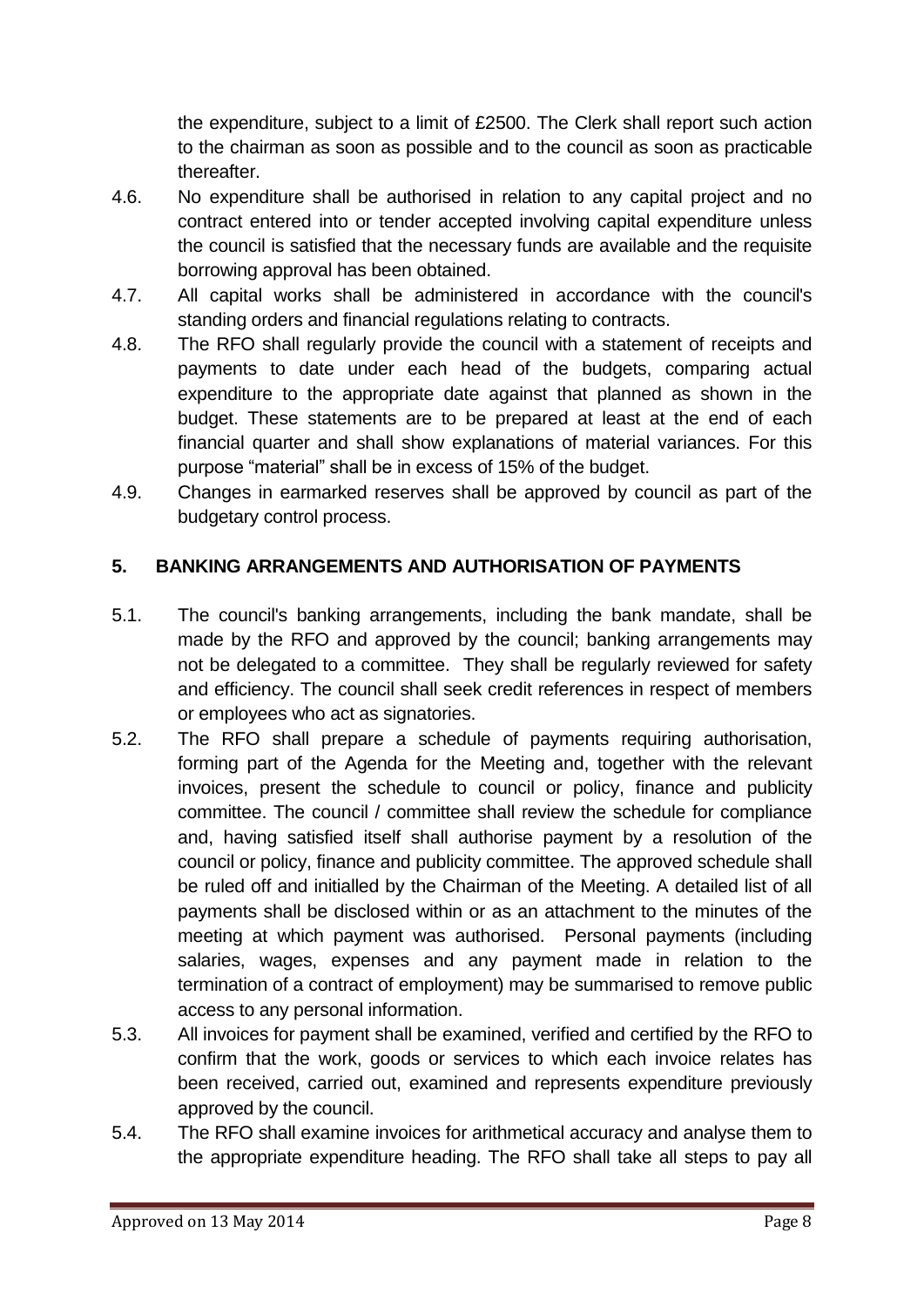the expenditure, subject to a limit of £2500. The Clerk shall report such action to the chairman as soon as possible and to the council as soon as practicable thereafter.

- 4.6. No expenditure shall be authorised in relation to any capital project and no contract entered into or tender accepted involving capital expenditure unless the council is satisfied that the necessary funds are available and the requisite borrowing approval has been obtained.
- 4.7. All capital works shall be administered in accordance with the council's standing orders and financial regulations relating to contracts.
- 4.8. The RFO shall regularly provide the council with a statement of receipts and payments to date under each head of the budgets, comparing actual expenditure to the appropriate date against that planned as shown in the budget. These statements are to be prepared at least at the end of each financial quarter and shall show explanations of material variances. For this purpose "material" shall be in excess of 15% of the budget.
- 4.9. Changes in earmarked reserves shall be approved by council as part of the budgetary control process.

# <span id="page-7-0"></span>**5. BANKING ARRANGEMENTS AND AUTHORISATION OF PAYMENTS**

- 5.1. The council's banking arrangements, including the bank mandate, shall be made by the RFO and approved by the council; banking arrangements may not be delegated to a committee. They shall be regularly reviewed for safety and efficiency. The council shall seek credit references in respect of members or employees who act as signatories.
- 5.2. The RFO shall prepare a schedule of payments requiring authorisation, forming part of the Agenda for the Meeting and, together with the relevant invoices, present the schedule to council or policy, finance and publicity committee. The council / committee shall review the schedule for compliance and, having satisfied itself shall authorise payment by a resolution of the council or policy, finance and publicity committee. The approved schedule shall be ruled off and initialled by the Chairman of the Meeting. A detailed list of all payments shall be disclosed within or as an attachment to the minutes of the meeting at which payment was authorised. Personal payments (including salaries, wages, expenses and any payment made in relation to the termination of a contract of employment) may be summarised to remove public access to any personal information.
- 5.3. All invoices for payment shall be examined, verified and certified by the RFO to confirm that the work, goods or services to which each invoice relates has been received, carried out, examined and represents expenditure previously approved by the council.
- 5.4. The RFO shall examine invoices for arithmetical accuracy and analyse them to the appropriate expenditure heading. The RFO shall take all steps to pay all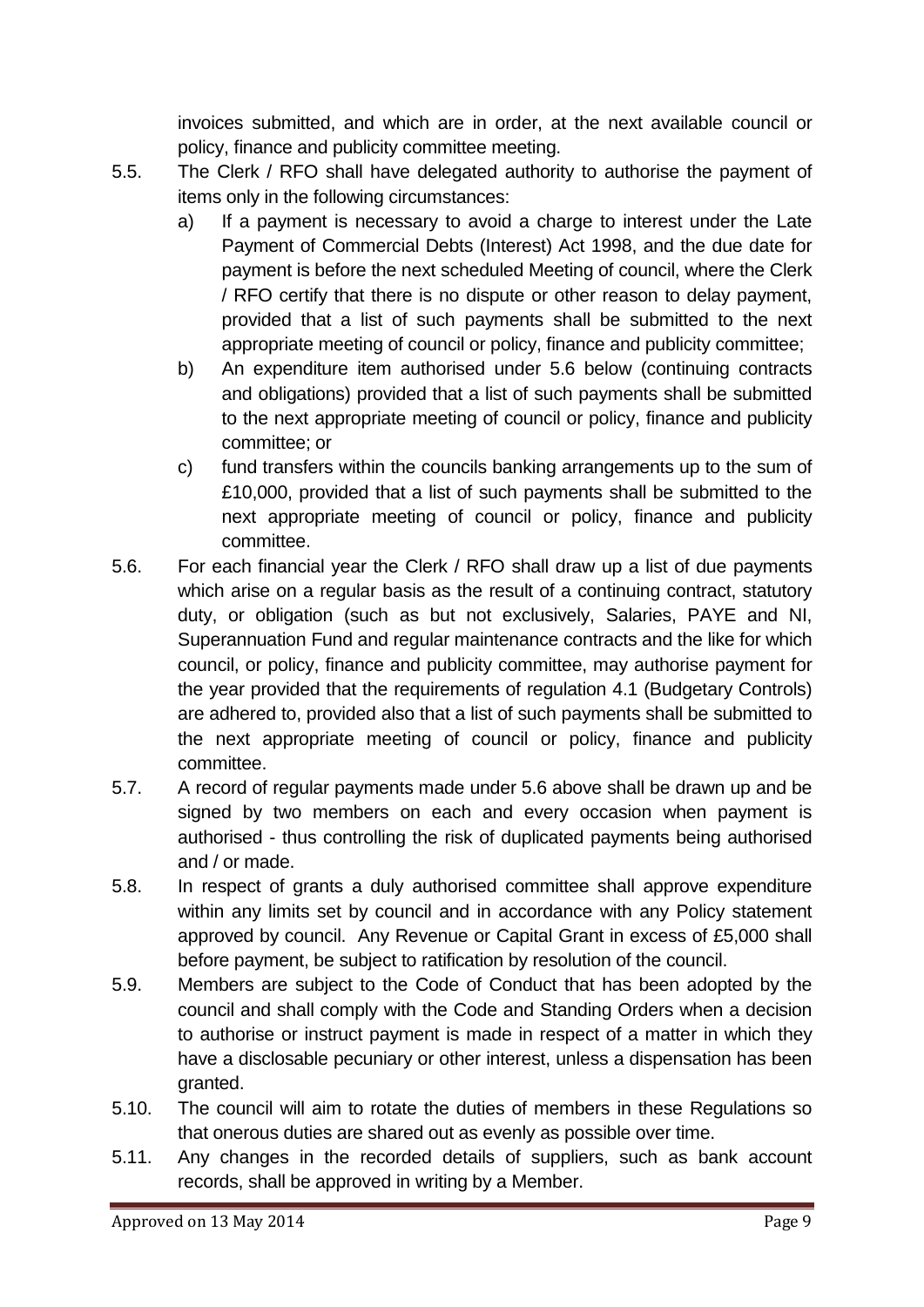invoices submitted, and which are in order, at the next available council or policy, finance and publicity committee meeting.

- 5.5. The Clerk / RFO shall have delegated authority to authorise the payment of items only in the following circumstances:
	- a) If a payment is necessary to avoid a charge to interest under the Late Payment of Commercial Debts (Interest) Act 1998, and the due date for payment is before the next scheduled Meeting of council, where the Clerk / RFO certify that there is no dispute or other reason to delay payment, provided that a list of such payments shall be submitted to the next appropriate meeting of council or policy, finance and publicity committee;
	- b) An expenditure item authorised under 5.6 below (continuing contracts and obligations) provided that a list of such payments shall be submitted to the next appropriate meeting of council or policy, finance and publicity committee; or
	- c) fund transfers within the councils banking arrangements up to the sum of £10,000, provided that a list of such payments shall be submitted to the next appropriate meeting of council or policy, finance and publicity committee.
- 5.6. For each financial year the Clerk / RFO shall draw up a list of due payments which arise on a regular basis as the result of a continuing contract, statutory duty, or obligation (such as but not exclusively, Salaries, PAYE and NI, Superannuation Fund and regular maintenance contracts and the like for which council, or policy, finance and publicity committee, may authorise payment for the year provided that the requirements of regulation 4.1 (Budgetary Controls) are adhered to, provided also that a list of such payments shall be submitted to the next appropriate meeting of council or policy, finance and publicity committee.
- 5.7. A record of regular payments made under 5.6 above shall be drawn up and be signed by two members on each and every occasion when payment is authorised - thus controlling the risk of duplicated payments being authorised and / or made.
- 5.8. In respect of grants a duly authorised committee shall approve expenditure within any limits set by council and in accordance with any Policy statement approved by council. Any Revenue or Capital Grant in excess of £5,000 shall before payment, be subject to ratification by resolution of the council.
- 5.9. Members are subject to the Code of Conduct that has been adopted by the council and shall comply with the Code and Standing Orders when a decision to authorise or instruct payment is made in respect of a matter in which they have a disclosable pecuniary or other interest, unless a dispensation has been granted.
- 5.10. The council will aim to rotate the duties of members in these Regulations so that onerous duties are shared out as evenly as possible over time.
- 5.11. Any changes in the recorded details of suppliers, such as bank account records, shall be approved in writing by a Member.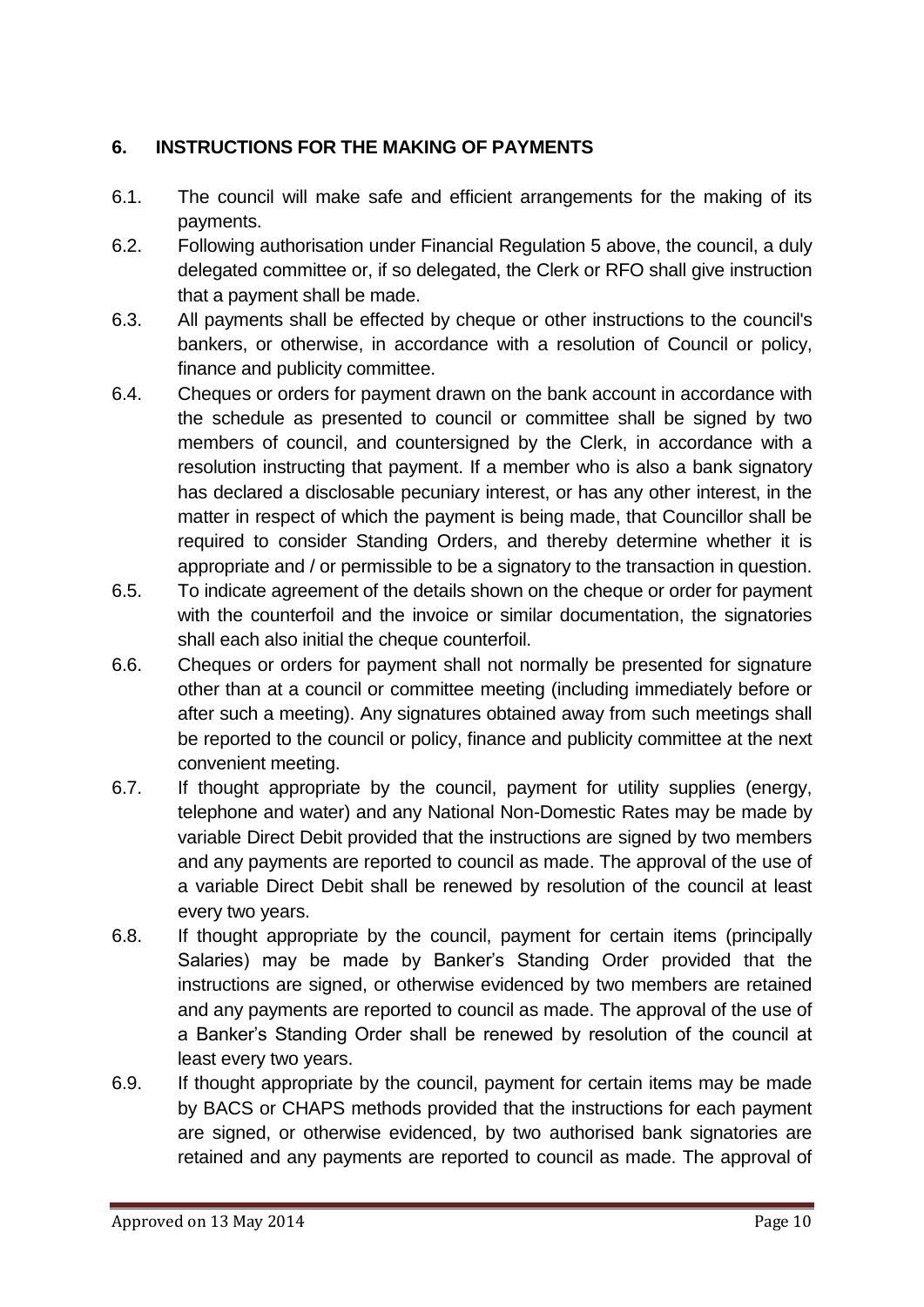#### <span id="page-9-0"></span>**6. INSTRUCTIONS FOR THE MAKING OF PAYMENTS**

- 6.1. The council will make safe and efficient arrangements for the making of its payments.
- 6.2. Following authorisation under Financial Regulation 5 above, the council, a duly delegated committee or, if so delegated, the Clerk or RFO shall give instruction that a payment shall be made.
- 6.3. All payments shall be effected by cheque or other instructions to the council's bankers, or otherwise, in accordance with a resolution of Council or policy, finance and publicity committee.
- 6.4. Cheques or orders for payment drawn on the bank account in accordance with the schedule as presented to council or committee shall be signed by two members of council, and countersigned by the Clerk, in accordance with a resolution instructing that payment. If a member who is also a bank signatory has declared a disclosable pecuniary interest, or has any other interest, in the matter in respect of which the payment is being made, that Councillor shall be required to consider Standing Orders, and thereby determine whether it is appropriate and / or permissible to be a signatory to the transaction in question.
- 6.5. To indicate agreement of the details shown on the cheque or order for payment with the counterfoil and the invoice or similar documentation, the signatories shall each also initial the cheque counterfoil.
- 6.6. Cheques or orders for payment shall not normally be presented for signature other than at a council or committee meeting (including immediately before or after such a meeting). Any signatures obtained away from such meetings shall be reported to the council or policy, finance and publicity committee at the next convenient meeting.
- 6.7. If thought appropriate by the council, payment for utility supplies (energy, telephone and water) and any National Non-Domestic Rates may be made by variable Direct Debit provided that the instructions are signed by two members and any payments are reported to council as made. The approval of the use of a variable Direct Debit shall be renewed by resolution of the council at least every two years.
- 6.8. If thought appropriate by the council, payment for certain items (principally Salaries) may be made by Banker's Standing Order provided that the instructions are signed, or otherwise evidenced by two members are retained and any payments are reported to council as made. The approval of the use of a Banker's Standing Order shall be renewed by resolution of the council at least every two years.
- 6.9. If thought appropriate by the council, payment for certain items may be made by BACS or CHAPS methods provided that the instructions for each payment are signed, or otherwise evidenced, by two authorised bank signatories are retained and any payments are reported to council as made. The approval of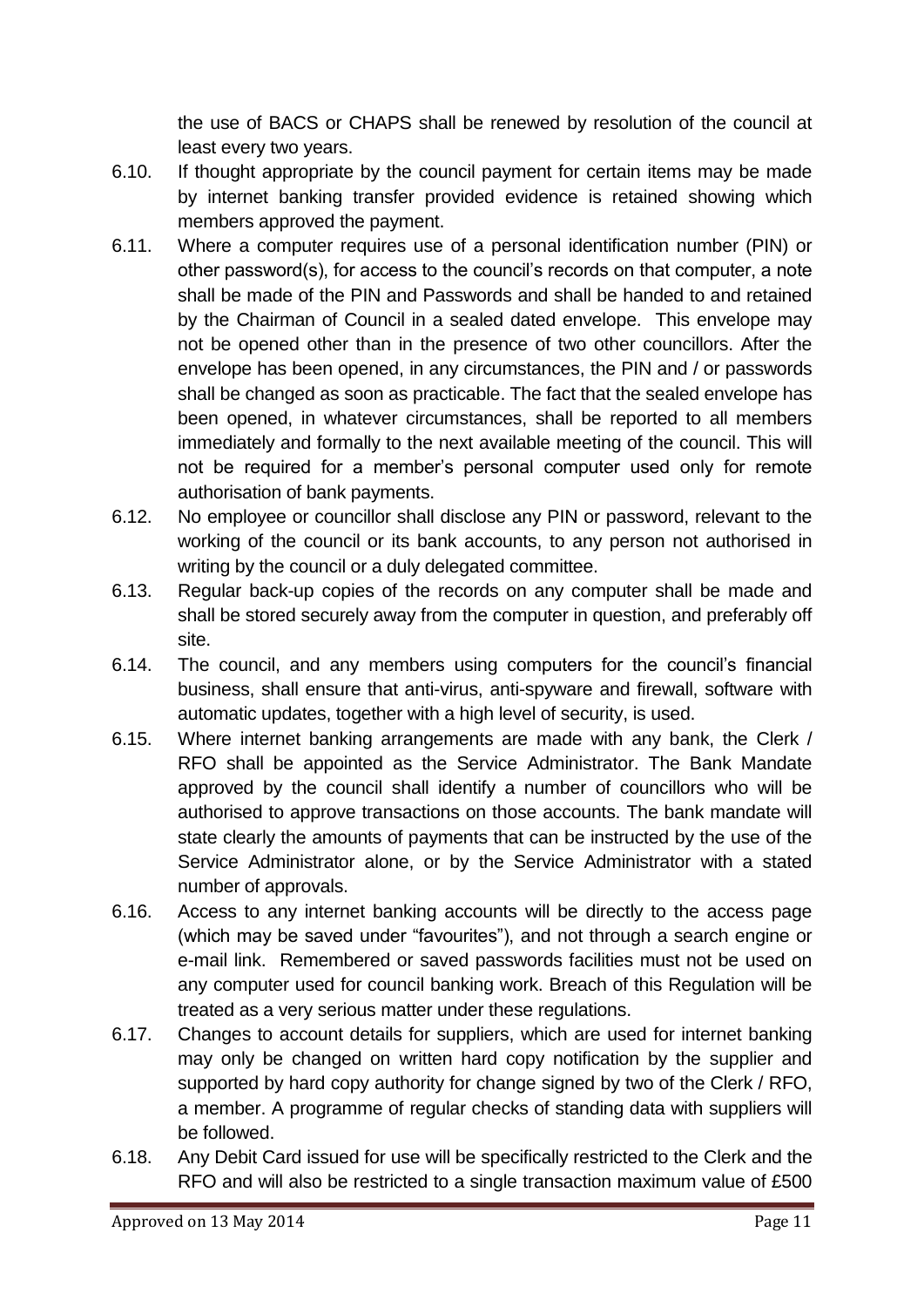the use of BACS or CHAPS shall be renewed by resolution of the council at least every two years.

- 6.10. If thought appropriate by the council payment for certain items may be made by internet banking transfer provided evidence is retained showing which members approved the payment.
- 6.11. Where a computer requires use of a personal identification number (PIN) or other password(s), for access to the council's records on that computer, a note shall be made of the PIN and Passwords and shall be handed to and retained by the Chairman of Council in a sealed dated envelope. This envelope may not be opened other than in the presence of two other councillors. After the envelope has been opened, in any circumstances, the PIN and / or passwords shall be changed as soon as practicable. The fact that the sealed envelope has been opened, in whatever circumstances, shall be reported to all members immediately and formally to the next available meeting of the council. This will not be required for a member's personal computer used only for remote authorisation of bank payments.
- 6.12. No employee or councillor shall disclose any PIN or password, relevant to the working of the council or its bank accounts, to any person not authorised in writing by the council or a duly delegated committee.
- 6.13. Regular back-up copies of the records on any computer shall be made and shall be stored securely away from the computer in question, and preferably off site.
- 6.14. The council, and any members using computers for the council's financial business, shall ensure that anti-virus, anti-spyware and firewall, software with automatic updates, together with a high level of security, is used.
- 6.15. Where internet banking arrangements are made with any bank, the Clerk / RFO shall be appointed as the Service Administrator. The Bank Mandate approved by the council shall identify a number of councillors who will be authorised to approve transactions on those accounts. The bank mandate will state clearly the amounts of payments that can be instructed by the use of the Service Administrator alone, or by the Service Administrator with a stated number of approvals.
- 6.16. Access to any internet banking accounts will be directly to the access page (which may be saved under "favourites"), and not through a search engine or e-mail link. Remembered or saved passwords facilities must not be used on any computer used for council banking work. Breach of this Regulation will be treated as a very serious matter under these regulations.
- 6.17. Changes to account details for suppliers, which are used for internet banking may only be changed on written hard copy notification by the supplier and supported by hard copy authority for change signed by two of the Clerk / RFO, a member. A programme of regular checks of standing data with suppliers will be followed.
- 6.18. Any Debit Card issued for use will be specifically restricted to the Clerk and the RFO and will also be restricted to a single transaction maximum value of £500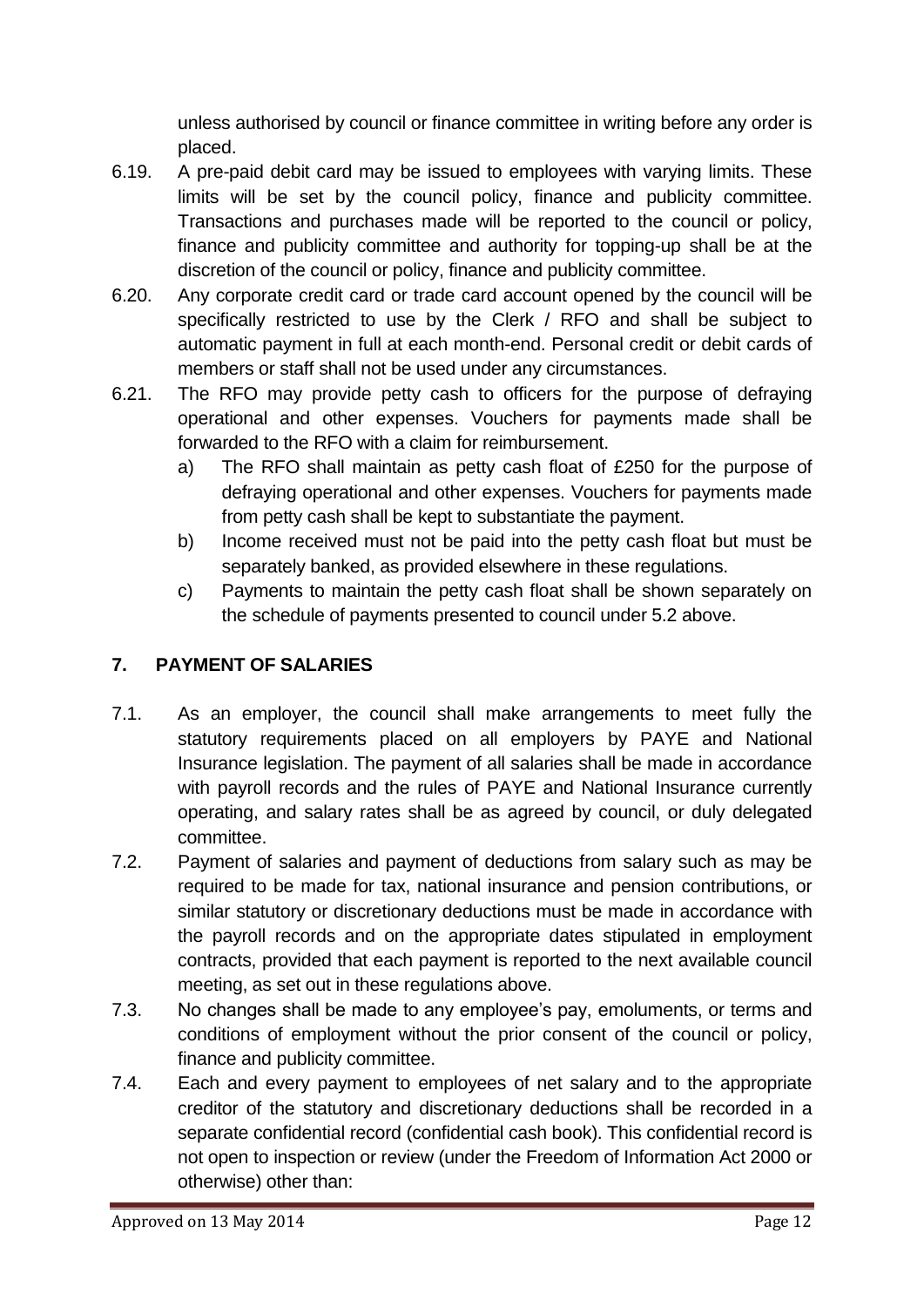unless authorised by council or finance committee in writing before any order is placed.

- 6.19. A pre-paid debit card may be issued to employees with varying limits. These limits will be set by the council policy, finance and publicity committee. Transactions and purchases made will be reported to the council or policy, finance and publicity committee and authority for topping-up shall be at the discretion of the council or policy, finance and publicity committee.
- 6.20. Any corporate credit card or trade card account opened by the council will be specifically restricted to use by the Clerk / RFO and shall be subject to automatic payment in full at each month-end. Personal credit or debit cards of members or staff shall not be used under any circumstances.
- 6.21. The RFO may provide petty cash to officers for the purpose of defraying operational and other expenses. Vouchers for payments made shall be forwarded to the RFO with a claim for reimbursement.
	- a) The RFO shall maintain as petty cash float of £250 for the purpose of defraying operational and other expenses. Vouchers for payments made from petty cash shall be kept to substantiate the payment.
	- b) Income received must not be paid into the petty cash float but must be separately banked, as provided elsewhere in these regulations.
	- c) Payments to maintain the petty cash float shall be shown separately on the schedule of payments presented to council under 5.2 above.

# <span id="page-11-0"></span>**7. PAYMENT OF SALARIES**

- 7.1. As an employer, the council shall make arrangements to meet fully the statutory requirements placed on all employers by PAYE and National Insurance legislation. The payment of all salaries shall be made in accordance with payroll records and the rules of PAYE and National Insurance currently operating, and salary rates shall be as agreed by council, or duly delegated committee.
- 7.2. Payment of salaries and payment of deductions from salary such as may be required to be made for tax, national insurance and pension contributions, or similar statutory or discretionary deductions must be made in accordance with the payroll records and on the appropriate dates stipulated in employment contracts, provided that each payment is reported to the next available council meeting, as set out in these regulations above.
- 7.3. No changes shall be made to any employee's pay, emoluments, or terms and conditions of employment without the prior consent of the council or policy, finance and publicity committee.
- 7.4. Each and every payment to employees of net salary and to the appropriate creditor of the statutory and discretionary deductions shall be recorded in a separate confidential record (confidential cash book). This confidential record is not open to inspection or review (under the Freedom of Information Act 2000 or otherwise) other than: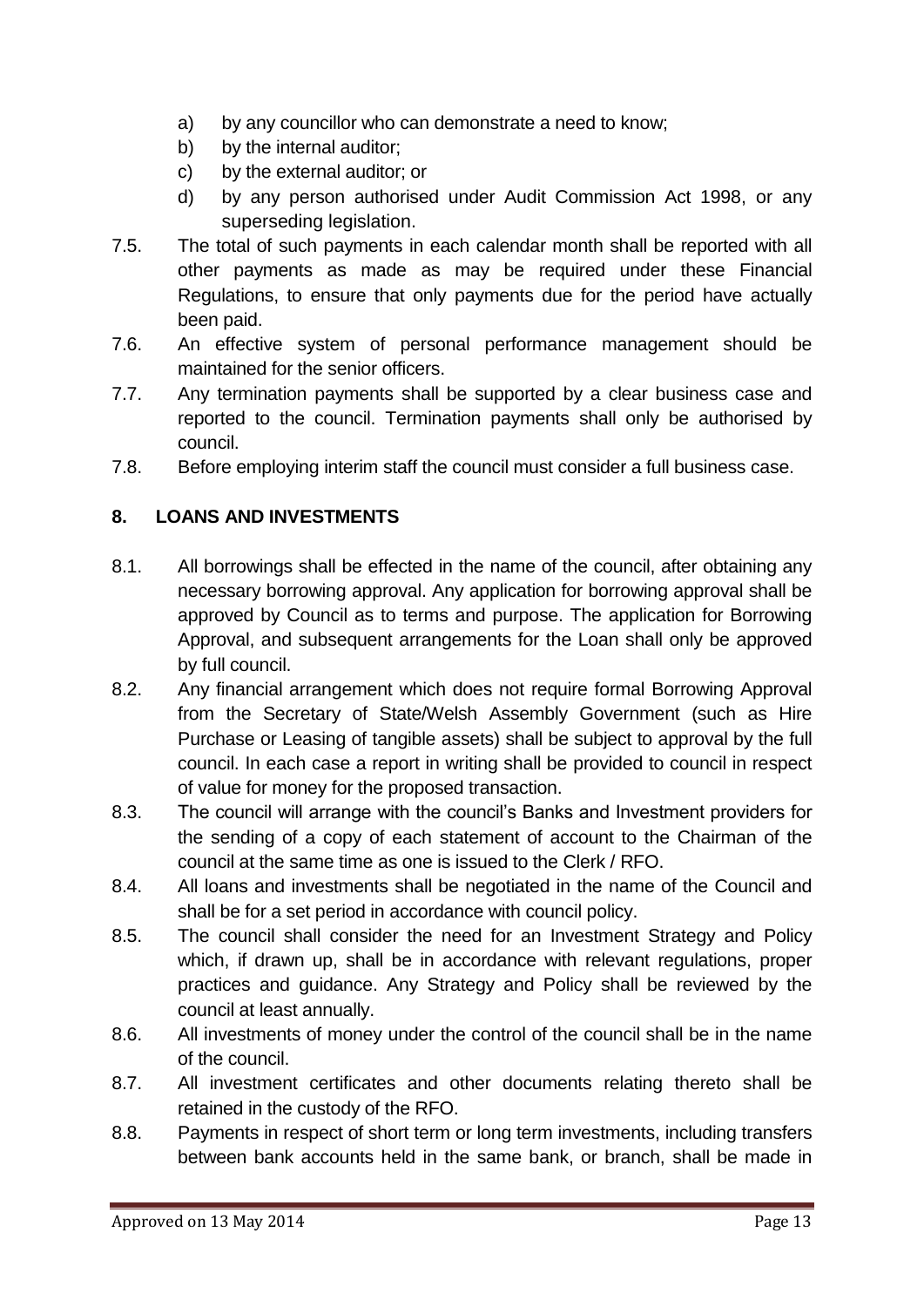- a) by any councillor who can demonstrate a need to know;
- b) by the internal auditor;
- c) by the external auditor; or
- d) by any person authorised under Audit Commission Act 1998, or any superseding legislation.
- 7.5. The total of such payments in each calendar month shall be reported with all other payments as made as may be required under these Financial Regulations, to ensure that only payments due for the period have actually been paid.
- 7.6. An effective system of personal performance management should be maintained for the senior officers.
- 7.7. Any termination payments shall be supported by a clear business case and reported to the council. Termination payments shall only be authorised by council.
- 7.8. Before employing interim staff the council must consider a full business case.

# <span id="page-12-0"></span>**8. LOANS AND INVESTMENTS**

- 8.1. All borrowings shall be effected in the name of the council, after obtaining any necessary borrowing approval. Any application for borrowing approval shall be approved by Council as to terms and purpose. The application for Borrowing Approval, and subsequent arrangements for the Loan shall only be approved by full council.
- 8.2. Any financial arrangement which does not require formal Borrowing Approval from the Secretary of State/Welsh Assembly Government (such as Hire Purchase or Leasing of tangible assets) shall be subject to approval by the full council. In each case a report in writing shall be provided to council in respect of value for money for the proposed transaction.
- 8.3. The council will arrange with the council's Banks and Investment providers for the sending of a copy of each statement of account to the Chairman of the council at the same time as one is issued to the Clerk / RFO.
- 8.4. All loans and investments shall be negotiated in the name of the Council and shall be for a set period in accordance with council policy.
- 8.5. The council shall consider the need for an Investment Strategy and Policy which, if drawn up, shall be in accordance with relevant regulations, proper practices and guidance. Any Strategy and Policy shall be reviewed by the council at least annually.
- 8.6. All investments of money under the control of the council shall be in the name of the council.
- 8.7. All investment certificates and other documents relating thereto shall be retained in the custody of the RFO.
- 8.8. Payments in respect of short term or long term investments, including transfers between bank accounts held in the same bank, or branch, shall be made in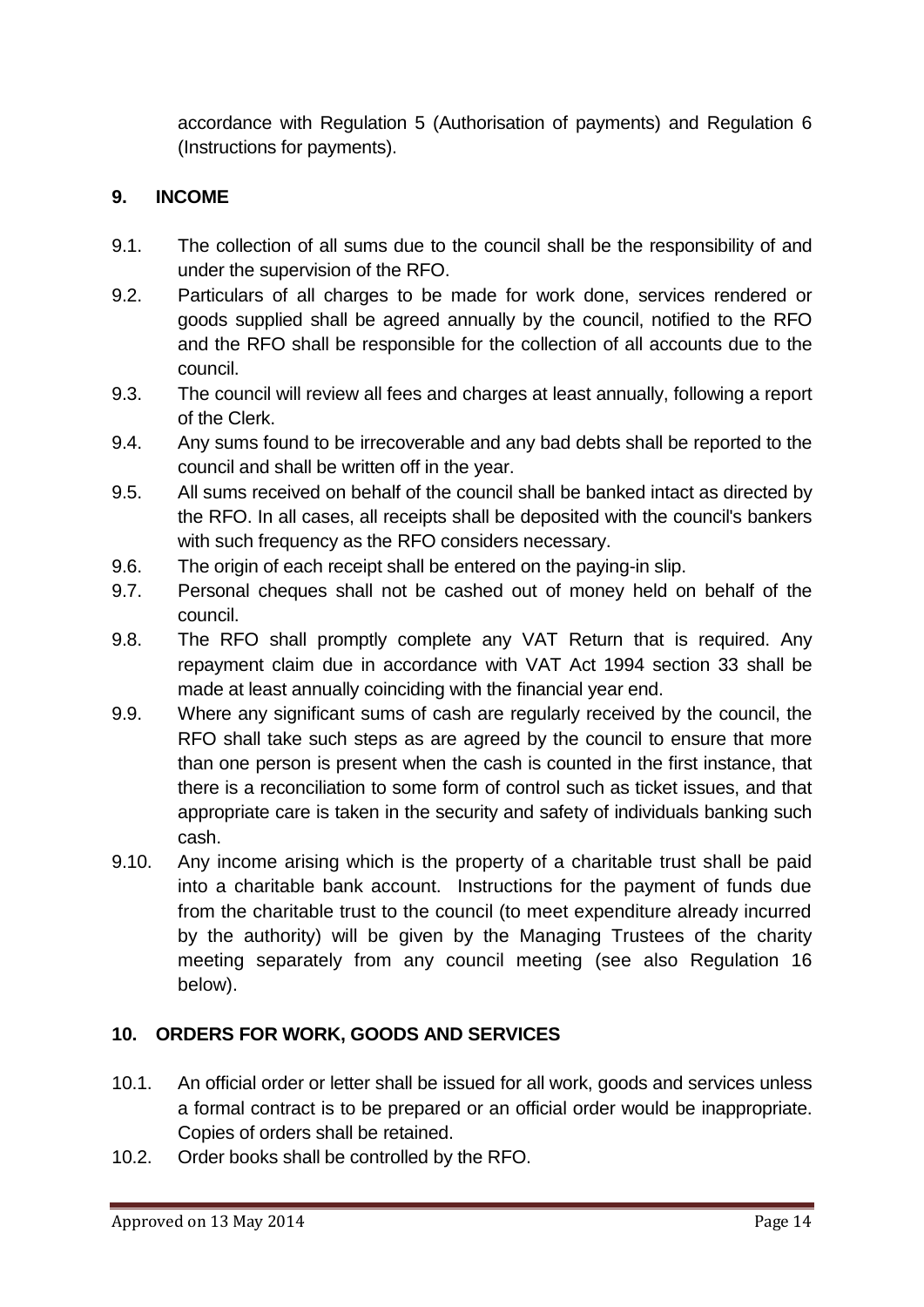accordance with Regulation 5 (Authorisation of payments) and Regulation 6 (Instructions for payments).

#### <span id="page-13-0"></span>**9. INCOME**

- 9.1. The collection of all sums due to the council shall be the responsibility of and under the supervision of the RFO.
- 9.2. Particulars of all charges to be made for work done, services rendered or goods supplied shall be agreed annually by the council, notified to the RFO and the RFO shall be responsible for the collection of all accounts due to the council.
- 9.3. The council will review all fees and charges at least annually, following a report of the Clerk.
- 9.4. Any sums found to be irrecoverable and any bad debts shall be reported to the council and shall be written off in the year.
- 9.5. All sums received on behalf of the council shall be banked intact as directed by the RFO. In all cases, all receipts shall be deposited with the council's bankers with such frequency as the RFO considers necessary.
- 9.6. The origin of each receipt shall be entered on the paying-in slip.
- 9.7. Personal cheques shall not be cashed out of money held on behalf of the council.
- 9.8. The RFO shall promptly complete any VAT Return that is required. Any repayment claim due in accordance with VAT Act 1994 section 33 shall be made at least annually coinciding with the financial year end.
- 9.9. Where any significant sums of cash are regularly received by the council, the RFO shall take such steps as are agreed by the council to ensure that more than one person is present when the cash is counted in the first instance, that there is a reconciliation to some form of control such as ticket issues, and that appropriate care is taken in the security and safety of individuals banking such cash.
- 9.10. Any income arising which is the property of a charitable trust shall be paid into a charitable bank account. Instructions for the payment of funds due from the charitable trust to the council (to meet expenditure already incurred by the authority) will be given by the Managing Trustees of the charity meeting separately from any council meeting (see also Regulation 16 below).

# <span id="page-13-1"></span>**10. ORDERS FOR WORK, GOODS AND SERVICES**

- 10.1. An official order or letter shall be issued for all work, goods and services unless a formal contract is to be prepared or an official order would be inappropriate. Copies of orders shall be retained.
- 10.2. Order books shall be controlled by the RFO.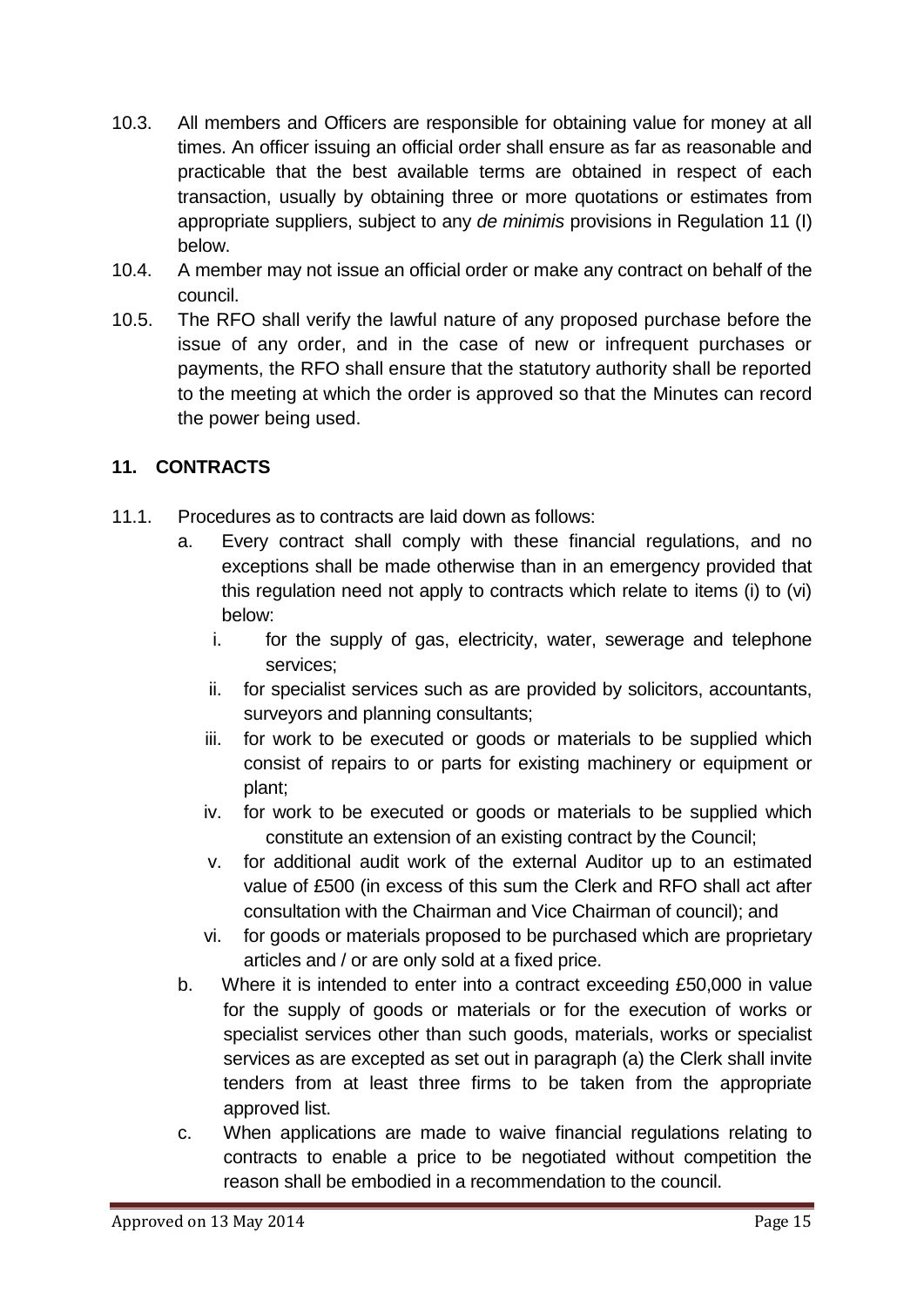- 10.3. All members and Officers are responsible for obtaining value for money at all times. An officer issuing an official order shall ensure as far as reasonable and practicable that the best available terms are obtained in respect of each transaction, usually by obtaining three or more quotations or estimates from appropriate suppliers, subject to any *de minimis* provisions in Regulation 11 (I) below.
- 10.4. A member may not issue an official order or make any contract on behalf of the council.
- 10.5. The RFO shall verify the lawful nature of any proposed purchase before the issue of any order, and in the case of new or infrequent purchases or payments, the RFO shall ensure that the statutory authority shall be reported to the meeting at which the order is approved so that the Minutes can record the power being used.

#### <span id="page-14-0"></span>**11. CONTRACTS**

- 11.1. Procedures as to contracts are laid down as follows:
	- a. Every contract shall comply with these financial regulations, and no exceptions shall be made otherwise than in an emergency provided that this regulation need not apply to contracts which relate to items (i) to (vi) below:
		- i. for the supply of gas, electricity, water, sewerage and telephone services;
		- ii. for specialist services such as are provided by solicitors, accountants, surveyors and planning consultants;
		- iii. for work to be executed or goods or materials to be supplied which consist of repairs to or parts for existing machinery or equipment or plant;
		- iv. for work to be executed or goods or materials to be supplied which constitute an extension of an existing contract by the Council;
		- v. for additional audit work of the external Auditor up to an estimated value of £500 (in excess of this sum the Clerk and RFO shall act after consultation with the Chairman and Vice Chairman of council); and
		- vi. for goods or materials proposed to be purchased which are proprietary articles and / or are only sold at a fixed price.
	- b. Where it is intended to enter into a contract exceeding £50,000 in value for the supply of goods or materials or for the execution of works or specialist services other than such goods, materials, works or specialist services as are excepted as set out in paragraph (a) the Clerk shall invite tenders from at least three firms to be taken from the appropriate approved list.
	- c. When applications are made to waive financial regulations relating to contracts to enable a price to be negotiated without competition the reason shall be embodied in a recommendation to the council.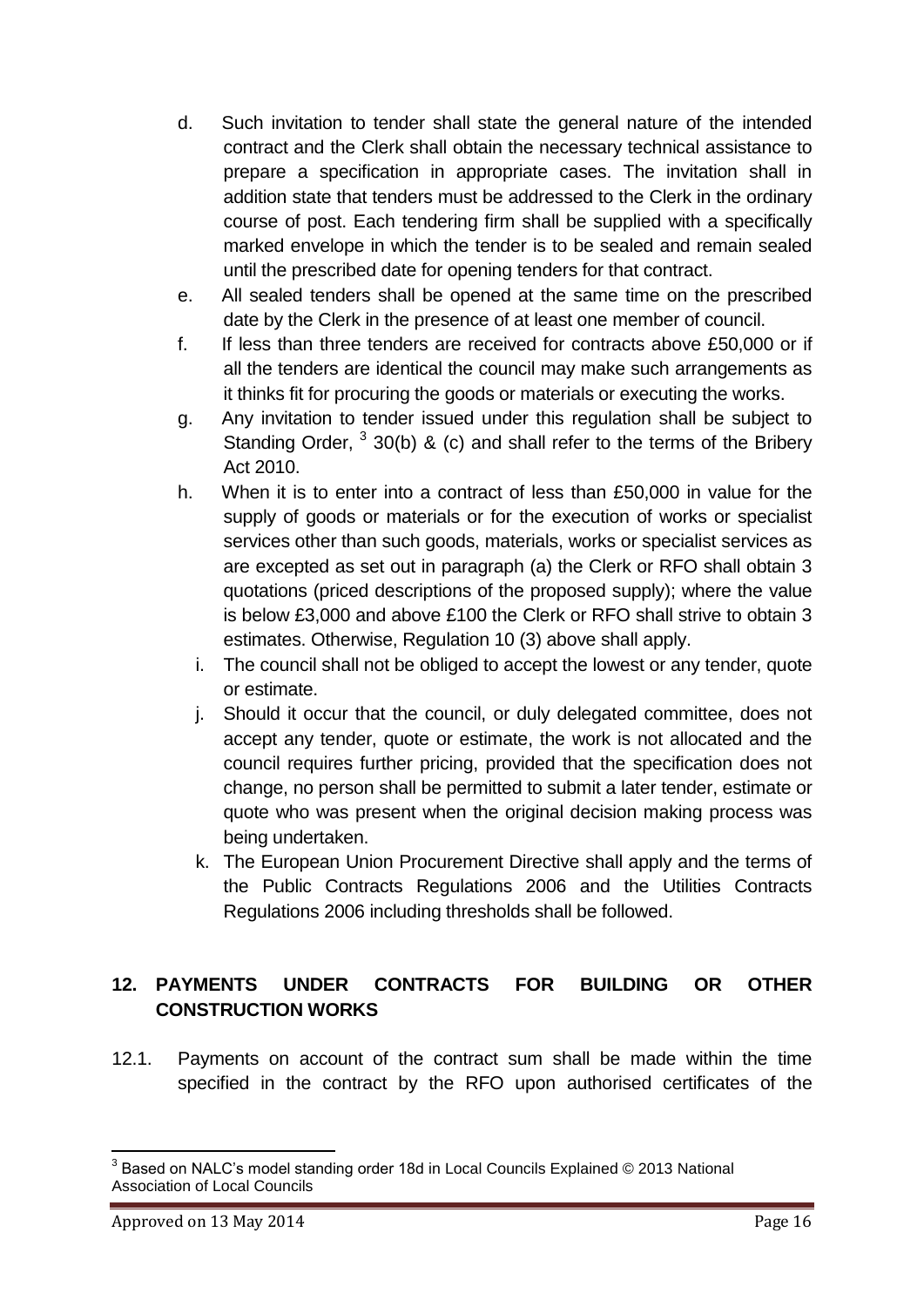- d. Such invitation to tender shall state the general nature of the intended contract and the Clerk shall obtain the necessary technical assistance to prepare a specification in appropriate cases. The invitation shall in addition state that tenders must be addressed to the Clerk in the ordinary course of post. Each tendering firm shall be supplied with a specifically marked envelope in which the tender is to be sealed and remain sealed until the prescribed date for opening tenders for that contract.
- e. All sealed tenders shall be opened at the same time on the prescribed date by the Clerk in the presence of at least one member of council.
- f. If less than three tenders are received for contracts above £50,000 or if all the tenders are identical the council may make such arrangements as it thinks fit for procuring the goods or materials or executing the works.
- g. Any invitation to tender issued under this regulation shall be subject to Standing Order,  $330(b)$  & (c) and shall refer to the terms of the Bribery Act 2010.
- h. When it is to enter into a contract of less than £50,000 in value for the supply of goods or materials or for the execution of works or specialist services other than such goods, materials, works or specialist services as are excepted as set out in paragraph (a) the Clerk or RFO shall obtain 3 quotations (priced descriptions of the proposed supply); where the value is below £3,000 and above £100 the Clerk or RFO shall strive to obtain 3 estimates. Otherwise, Regulation 10 (3) above shall apply.
	- i. The council shall not be obliged to accept the lowest or any tender, quote or estimate.
	- j. Should it occur that the council, or duly delegated committee, does not accept any tender, quote or estimate, the work is not allocated and the council requires further pricing, provided that the specification does not change, no person shall be permitted to submit a later tender, estimate or quote who was present when the original decision making process was being undertaken.
	- k. The European Union Procurement Directive shall apply and the terms of the Public Contracts Regulations 2006 and the Utilities Contracts Regulations 2006 including thresholds shall be followed.

# <span id="page-15-0"></span>**12. PAYMENTS UNDER CONTRACTS FOR BUILDING OR OTHER CONSTRUCTION WORKS**

12.1. Payments on account of the contract sum shall be made within the time specified in the contract by the RFO upon authorised certificates of the

 3 Based on NALC's model standing order 18d in Local Councils Explained © 2013 National Association of Local Councils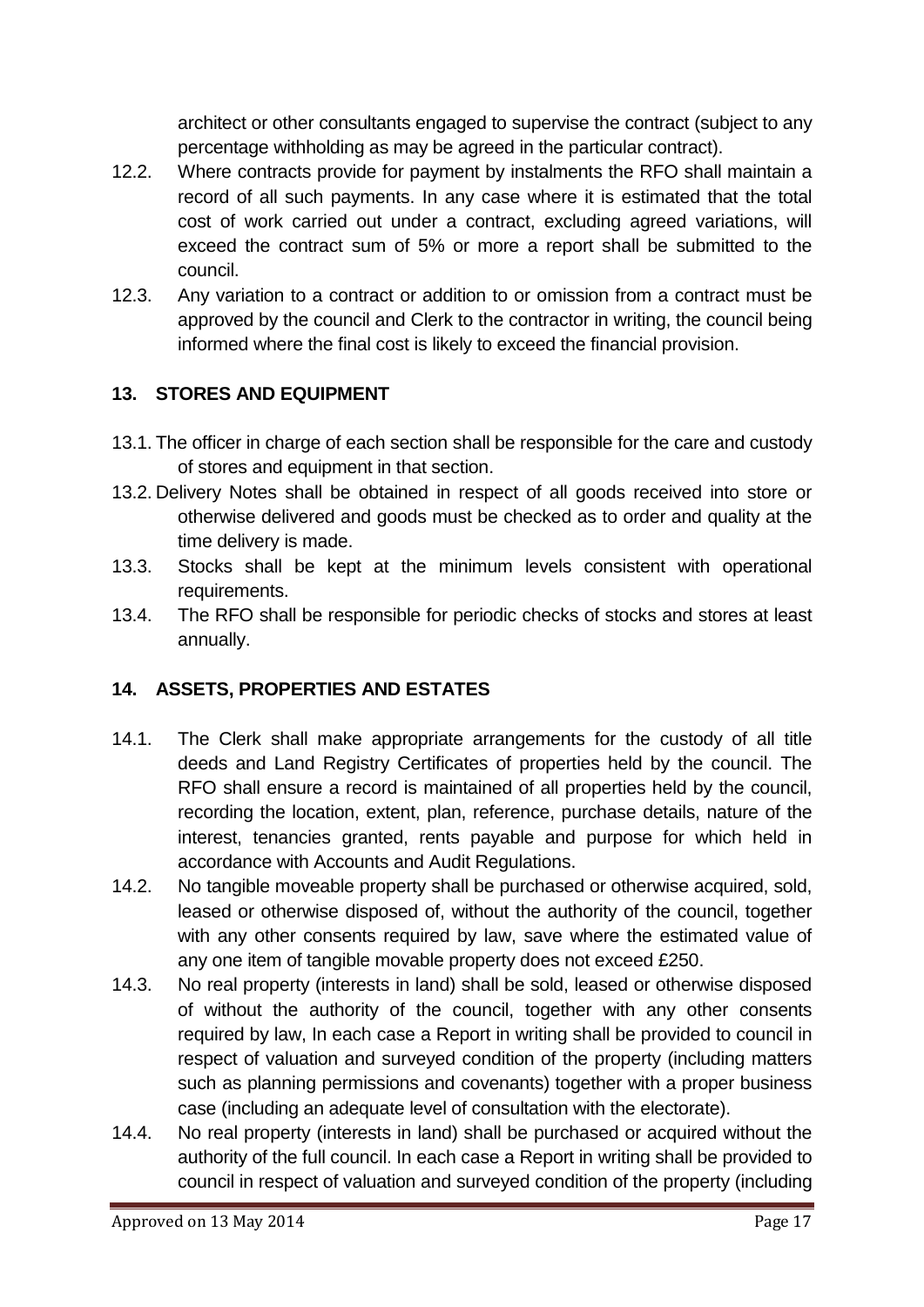architect or other consultants engaged to supervise the contract (subject to any percentage withholding as may be agreed in the particular contract).

- 12.2. Where contracts provide for payment by instalments the RFO shall maintain a record of all such payments. In any case where it is estimated that the total cost of work carried out under a contract, excluding agreed variations, will exceed the contract sum of 5% or more a report shall be submitted to the council.
- 12.3. Any variation to a contract or addition to or omission from a contract must be approved by the council and Clerk to the contractor in writing, the council being informed where the final cost is likely to exceed the financial provision.

# <span id="page-16-0"></span>**13. STORES AND EQUIPMENT**

- 13.1. The officer in charge of each section shall be responsible for the care and custody of stores and equipment in that section.
- 13.2. Delivery Notes shall be obtained in respect of all goods received into store or otherwise delivered and goods must be checked as to order and quality at the time delivery is made.
- 13.3. Stocks shall be kept at the minimum levels consistent with operational requirements.
- 13.4. The RFO shall be responsible for periodic checks of stocks and stores at least annually.

# <span id="page-16-1"></span>**14. ASSETS, PROPERTIES AND ESTATES**

- 14.1. The Clerk shall make appropriate arrangements for the custody of all title deeds and Land Registry Certificates of properties held by the council. The RFO shall ensure a record is maintained of all properties held by the council, recording the location, extent, plan, reference, purchase details, nature of the interest, tenancies granted, rents payable and purpose for which held in accordance with Accounts and Audit Regulations.
- 14.2. No tangible moveable property shall be purchased or otherwise acquired, sold, leased or otherwise disposed of, without the authority of the council, together with any other consents required by law, save where the estimated value of any one item of tangible movable property does not exceed £250.
- 14.3. No real property (interests in land) shall be sold, leased or otherwise disposed of without the authority of the council, together with any other consents required by law, In each case a Report in writing shall be provided to council in respect of valuation and surveyed condition of the property (including matters such as planning permissions and covenants) together with a proper business case (including an adequate level of consultation with the electorate).
- 14.4. No real property (interests in land) shall be purchased or acquired without the authority of the full council. In each case a Report in writing shall be provided to council in respect of valuation and surveyed condition of the property (including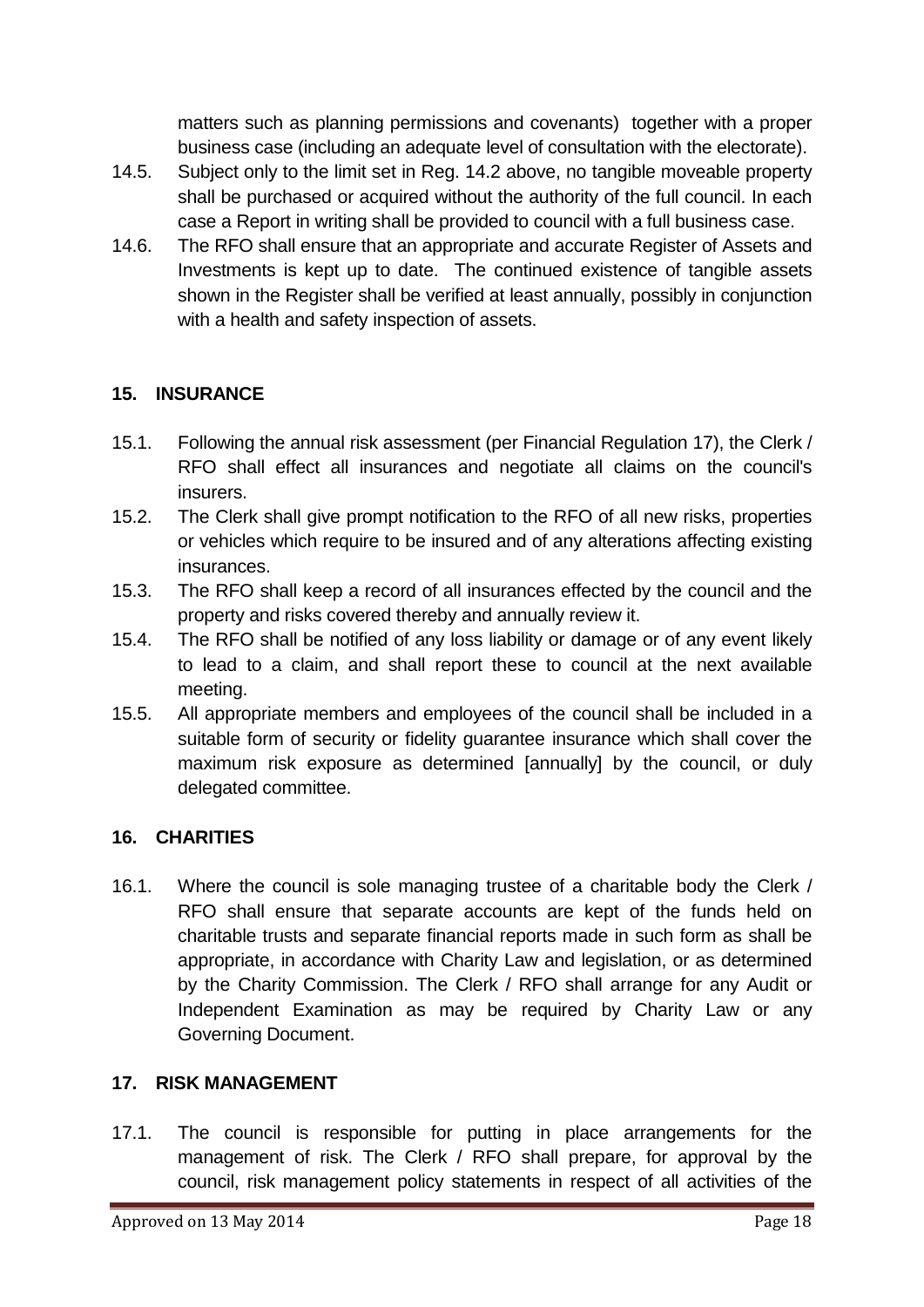matters such as planning permissions and covenants) together with a proper business case (including an adequate level of consultation with the electorate).

- 14.5. Subject only to the limit set in Reg. 14.2 above, no tangible moveable property shall be purchased or acquired without the authority of the full council. In each case a Report in writing shall be provided to council with a full business case.
- 14.6. The RFO shall ensure that an appropriate and accurate Register of Assets and Investments is kept up to date. The continued existence of tangible assets shown in the Register shall be verified at least annually, possibly in conjunction with a health and safety inspection of assets.

#### <span id="page-17-0"></span>**15. INSURANCE**

- 15.1. Following the annual risk assessment (per Financial Regulation 17), the Clerk / RFO shall effect all insurances and negotiate all claims on the council's insurers.
- 15.2. The Clerk shall give prompt notification to the RFO of all new risks, properties or vehicles which require to be insured and of any alterations affecting existing insurances.
- 15.3. The RFO shall keep a record of all insurances effected by the council and the property and risks covered thereby and annually review it.
- 15.4. The RFO shall be notified of any loss liability or damage or of any event likely to lead to a claim, and shall report these to council at the next available meeting.
- 15.5. All appropriate members and employees of the council shall be included in a suitable form of security or fidelity guarantee insurance which shall cover the maximum risk exposure as determined [annually] by the council, or duly delegated committee.

#### <span id="page-17-1"></span>**16. CHARITIES**

16.1. Where the council is sole managing trustee of a charitable body the Clerk / RFO shall ensure that separate accounts are kept of the funds held on charitable trusts and separate financial reports made in such form as shall be appropriate, in accordance with Charity Law and legislation, or as determined by the Charity Commission. The Clerk / RFO shall arrange for any Audit or Independent Examination as may be required by Charity Law or any Governing Document.

#### <span id="page-17-2"></span>**17. RISK MANAGEMENT**

17.1. The council is responsible for putting in place arrangements for the management of risk. The Clerk / RFO shall prepare, for approval by the council, risk management policy statements in respect of all activities of the